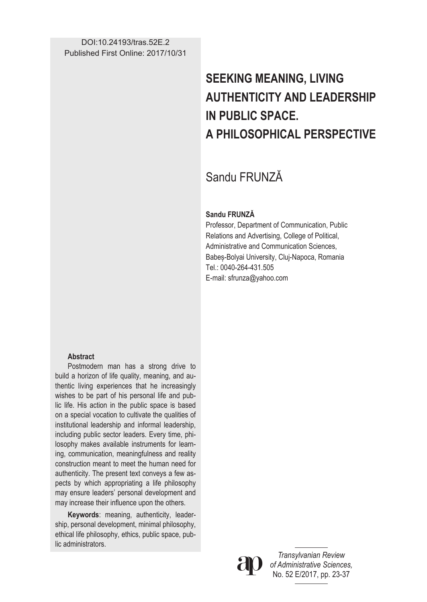# **SEEKING MEANING, LIVING AUTHENTICITY AND LEADERSHIP IN PUBLIC SPACE. A PHILOSOPHICAL PERSPECTIVE**

# Sandu FRUNZĂ

# **Sandu FRUNZĂ**

Professor, Department of Communication, Public Relations and Advertising, College of Political, Administrative and Communication Sciences, Babeș-Bolyai University, Cluj-Napoca, Romania Tel.: 0040-264-431.505 E-mail: sfrunza@yahoo.com

#### **Abstract**

Postmodern man has a strong drive to build a horizon of life quality, meaning, and authentic living experiences that he increasingly wishes to be part of his personal life and public life. His action in the public space is based on a special vocation to cultivate the qualities of institutional leadership and informal leadership, including public sector leaders. Every time, philosophy makes available instruments for learning, communication, meaningfulness and reality construction meant to meet the human need for authenticity. The present text conveys a few aspects by which appropriating a life philosophy may ensure leaders' personal development and may increase their influence upon the others.

**Keywords**: meaning, authenticity, leadership, personal development, minimal philosophy, ethical life philosophy, ethics, public space, public administrators.

*Transylvanian Review of Administrative Sciences,* No. 52 E/2017, pp. 23-37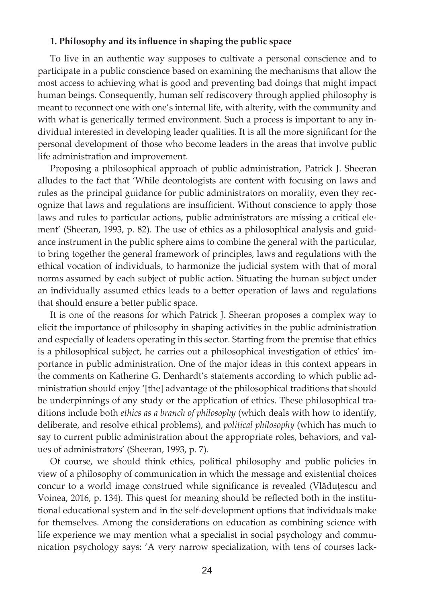### **1. Philosophy and its influence in shaping the public space**

To live in an authentic way supposes to cultivate a personal conscience and to participate in a public conscience based on examining the mechanisms that allow the most access to achieving what is good and preventing bad doings that might impact human beings. Consequently, human self rediscovery through applied philosophy is meant to reconnect one with one's internal life, with alterity, with the community and with what is generically termed environment. Such a process is important to any individual interested in developing leader qualities. It is all the more significant for the personal development of those who become leaders in the areas that involve public life administration and improvement.

Proposing a philosophical approach of public administration, Patrick J. Sheeran alludes to the fact that 'While deontologists are content with focusing on laws and rules as the principal guidance for public administrators on morality, even they recognize that laws and regulations are insufficient. Without conscience to apply those laws and rules to particular actions, public administrators are missing a critical element' (Sheeran, 1993, p. 82). The use of ethics as a philosophical analysis and guidance instrument in the public sphere aims to combine the general with the particular, to bring together the general framework of principles, laws and regulations with the ethical vocation of individuals, to harmonize the judicial system with that of moral norms assumed by each subject of public action. Situating the human subject under an individually assumed ethics leads to a better operation of laws and regulations that should ensure a better public space.

It is one of the reasons for which Patrick J. Sheeran proposes a complex way to elicit the importance of philosophy in shaping activities in the public administration and especially of leaders operating in this sector. Starting from the premise that ethics is a philosophical subject, he carries out a philosophical investigation of ethics' importance in public administration. One of the major ideas in this context appears in the comments on Katherine G. Denhardt's statements according to which public administration should enjoy '[the] advantage of the philosophical traditions that should be underpinnings of any study or the application of ethics. These philosophical traditions include both *ethics as a branch of philosophy* (which deals with how to identify, deliberate, and resolve ethical problems), and *political philosophy* (which has much to say to current public administration about the appropriate roles, behaviors, and values of administrators' (Sheeran, 1993, p. 7).

Of course, we should think ethics, political philosophy and public policies in view of a philosophy of communication in which the message and existential choices concur to a world image construed while significance is revealed (Vlăduțescu and Voinea, 2016, p. 134). This quest for meaning should be reflected both in the institutional educational system and in the self-development options that individuals make for themselves. Among the considerations on education as combining science with life experience we may mention what a specialist in social psychology and communication psychology says: 'A very narrow specialization, with tens of courses lack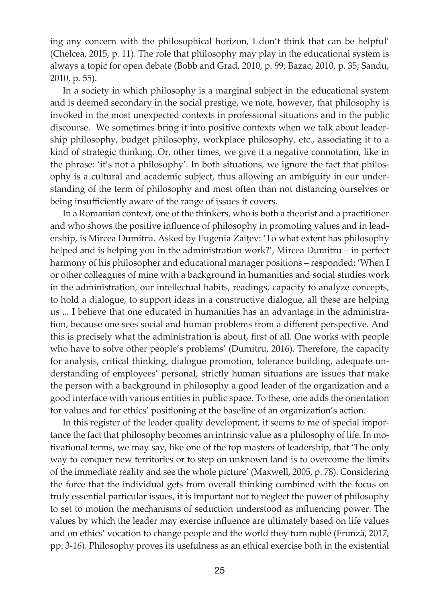ing any concern with the philosophical horizon, I don't think that can be helpful' (Chelcea, 2015, p. 11). The role that philosophy may play in the educational system is always a topic for open debate (Bobb and Grad, 2010, p. 99; Bazac, 2010, p. 35; Sandu, 2010, p. 55).

In a society in which philosophy is a marginal subject in the educational system and is deemed secondary in the social prestige, we note, however, that philosophy is invoked in the most unexpected contexts in professional situations and in the public discourse. We sometimes bring it into positive contexts when we talk about leadership philosophy, budget philosophy, workplace philosophy, etc., associating it to a kind of strategic thinking. Or, other times, we give it a negative connotation, like in the phrase: 'it's not a philosophy'. In both situations, we ignore the fact that philosophy is a cultural and academic subject, thus allowing an ambiguity in our understanding of the term of philosophy and most often than not distancing ourselves or being insufficiently aware of the range of issues it covers.

In a Romanian context, one of the thinkers, who is both a theorist and a practitioner and who shows the positive influence of philosophy in promoting values and in leadership, is Mircea Dumitru. Asked by Eugenia Zaițev: 'To what extent has philosophy helped and is helping you in the administration work?', Mircea Dumitru – in perfect harmony of his philosopher and educational manager positions – responded: 'When I or other colleagues of mine with a background in humanities and social studies work in the administration, our intellectual habits, readings, capacity to analyze concepts, to hold a dialogue, to support ideas in a constructive dialogue, all these are helping us ... I believe that one educated in humanities has an advantage in the administration, because one sees social and human problems from a different perspective. And this is precisely what the administration is about, first of all. One works with people who have to solve other people's problems' (Dumitru, 2016). Therefore, the capacity for analysis, critical thinking, dialogue promotion, tolerance building, adequate understanding of employees' personal, strictly human situations are issues that make the person with a background in philosophy a good leader of the organization and a good interface with various entities in public space. To these, one adds the orientation for values and for ethics' positioning at the baseline of an organization's action.

In this register of the leader quality development, it seems to me of special importance the fact that philosophy becomes an intrinsic value as a philosophy of life. In motivational terms, we may say, like one of the top masters of leadership, that 'The only way to conquer new territories or to step on unknown land is to overcome the limits of the immediate reality and see the whole picture' (Maxwell, 2005, p. 78). Considering the force that the individual gets from overall thinking combined with the focus on truly essential particular issues, it is important not to neglect the power of philosophy to set to motion the mechanisms of seduction understood as influencing power. The values by which the leader may exercise influence are ultimately based on life values and on ethics' vocation to change people and the world they turn noble (Frunză, 2017, pp. 3-16). Philosophy proves its usefulness as an ethical exercise both in the existential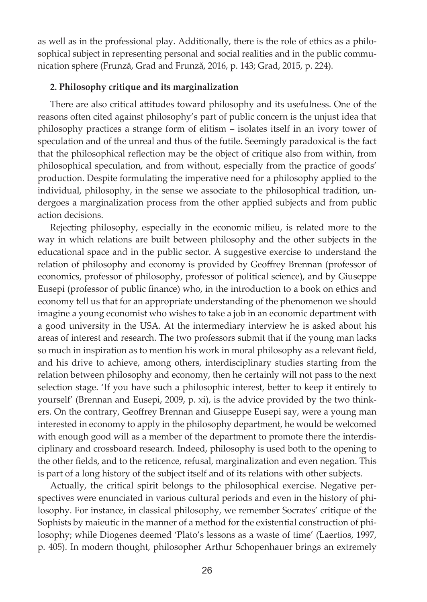as well as in the professional play. Additionally, there is the role of ethics as a philosophical subject in representing personal and social realities and in the public communication sphere (Frunză, Grad and Frunză, 2016, p. 143; Grad, 2015, p. 224).

## **2. Philosophy critique and its marginalization**

There are also critical attitudes toward philosophy and its usefulness. One of the reasons often cited against philosophy's part of public concern is the unjust idea that philosophy practices a strange form of elitism – isolates itself in an ivory tower of speculation and of the unreal and thus of the futile. Seemingly paradoxical is the fact that the philosophical reflection may be the object of critique also from within, from philosophical speculation, and from without, especially from the practice of goods' production. Despite formulating the imperative need for a philosophy applied to the individual, philosophy, in the sense we associate to the philosophical tradition, undergoes a marginalization process from the other applied subjects and from public action decisions.

Rejecting philosophy, especially in the economic milieu, is related more to the way in which relations are built between philosophy and the other subjects in the educational space and in the public sector. A suggestive exercise to understand the relation of philosophy and economy is provided by Geoffrey Brennan (professor of economics, professor of philosophy, professor of political science), and by Giuseppe Eusepi (professor of public finance) who, in the introduction to a book on ethics and economy tell us that for an appropriate understanding of the phenomenon we should imagine a young economist who wishes to take a job in an economic department with a good university in the USA. At the intermediary interview he is asked about his areas of interest and research. The two professors submit that if the young man lacks so much in inspiration as to mention his work in moral philosophy as a relevant field, and his drive to achieve, among others, interdisciplinary studies starting from the relation between philosophy and economy, then he certainly will not pass to the next selection stage. 'If you have such a philosophic interest, better to keep it entirely to yourself' (Brennan and Eusepi, 2009, p. xi), is the advice provided by the two thinkers. On the contrary, Geoffrey Brennan and Giuseppe Eusepi say, were a young man interested in economy to apply in the philosophy department, he would be welcomed with enough good will as a member of the department to promote there the interdisciplinary and crossboard research. Indeed, philosophy is used both to the opening to the other fields, and to the reticence, refusal, marginalization and even negation. This is part of a long history of the subject itself and of its relations with other subjects.

Actually, the critical spirit belongs to the philosophical exercise. Negative perspectives were enunciated in various cultural periods and even in the history of philosophy. For instance, in classical philosophy, we remember Socrates' critique of the Sophists by maieutic in the manner of a method for the existential construction of philosophy; while Diogenes deemed 'Plato's lessons as a waste of time' (Laertios, 1997, p. 405). In modern thought, philosopher Arthur Schopenhauer brings an extremely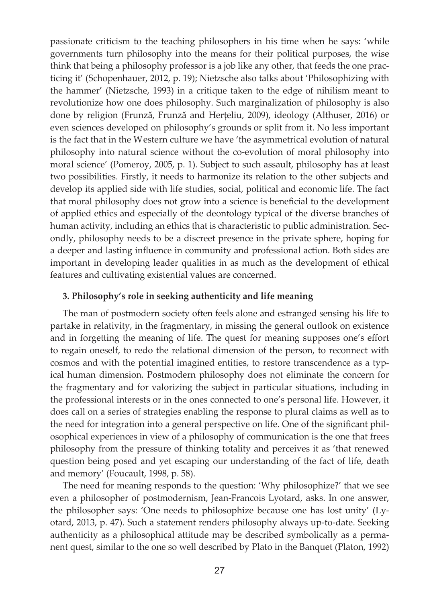passionate criticism to the teaching philosophers in his time when he says: 'while governments turn philosophy into the means for their political purposes, the wise think that being a philosophy professor is a job like any other, that feeds the one practicing it' (Schopenhauer, 2012, p. 19); Nietzsche also talks about 'Philosophizing with the hammer' (Nietzsche, 1993) in a critique taken to the edge of nihilism meant to revolutionize how one does philosophy. Such marginalization of philosophy is also done by religion (Frunză, Frunză and Herțeliu, 2009), ideology (Althuser, 2016) or even sciences developed on philosophy's grounds or split from it. No less important is the fact that in the Western culture we have 'the asymmetrical evolution of natural philosophy into natural science without the co-evolution of moral philosophy into moral science' (Pomeroy, 2005, p. 1). Subject to such assault, philosophy has at least two possibilities. Firstly, it needs to harmonize its relation to the other subjects and develop its applied side with life studies, social, political and economic life. The fact that moral philosophy does not grow into a science is beneficial to the development of applied ethics and especially of the deontology typical of the diverse branches of human activity, including an ethics that is characteristic to public administration. Secondly, philosophy needs to be a discreet presence in the private sphere, hoping for a deeper and lasting influence in community and professional action. Both sides are important in developing leader qualities in as much as the development of ethical features and cultivating existential values are concerned.

# **3. Philosophy's role in seeking authenticity and life meaning**

The man of postmodern society often feels alone and estranged sensing his life to partake in relativity, in the fragmentary, in missing the general outlook on existence and in forgetting the meaning of life. The quest for meaning supposes one's effort to regain oneself, to redo the relational dimension of the person, to reconnect with cosmos and with the potential imagined entities, to restore transcendence as a typical human dimension. Postmodern philosophy does not eliminate the concern for the fragmentary and for valorizing the subject in particular situations, including in the professional interests or in the ones connected to one's personal life. However, it does call on a series of strategies enabling the response to plural claims as well as to the need for integration into a general perspective on life. One of the significant philosophical experiences in view of a philosophy of communication is the one that frees philosophy from the pressure of thinking totality and perceives it as 'that renewed question being posed and yet escaping our understanding of the fact of life, death and memory' (Foucault, 1998, p. 58).

The need for meaning responds to the question: 'Why philosophize?' that we see even a philosopher of postmodernism, Jean-Francois Lyotard, asks. In one answer, the philosopher says: 'One needs to philosophize because one has lost unity' (Lyotard, 2013, p. 47). Such a statement renders philosophy always up-to-date. Seeking authenticity as a philosophical attitude may be described symbolically as a permanent quest, similar to the one so well described by Plato in the Banquet (Platon, 1992)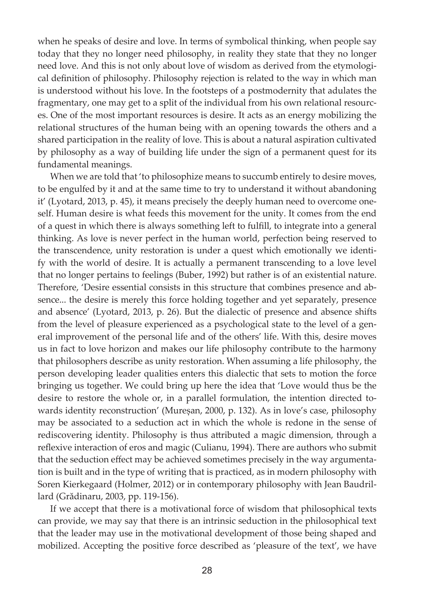when he speaks of desire and love. In terms of symbolical thinking, when people say today that they no longer need philosophy, in reality they state that they no longer need love. And this is not only about love of wisdom as derived from the etymological definition of philosophy. Philosophy rejection is related to the way in which man is understood without his love. In the footsteps of a postmodernity that adulates the fragmentary, one may get to a split of the individual from his own relational resources. One of the most important resources is desire. It acts as an energy mobilizing the relational structures of the human being with an opening towards the others and a shared participation in the reality of love. This is about a natural aspiration cultivated by philosophy as a way of building life under the sign of a permanent quest for its fundamental meanings.

When we are told that 'to philosophize means to succumb entirely to desire moves, to be engulfed by it and at the same time to try to understand it without abandoning it' (Lyotard, 2013, p. 45), it means precisely the deeply human need to overcome oneself. Human desire is what feeds this movement for the unity. It comes from the end of a quest in which there is always something left to fulfill, to integrate into a general thinking. As love is never perfect in the human world, perfection being reserved to the transcendence, unity restoration is under a quest which emotionally we identify with the world of desire. It is actually a permanent transcending to a love level that no longer pertains to feelings (Buber, 1992) but rather is of an existential nature. Therefore, 'Desire essential consists in this structure that combines presence and absence... the desire is merely this force holding together and yet separately, presence and absence' (Lyotard, 2013, p. 26). But the dialectic of presence and absence shifts from the level of pleasure experienced as a psychological state to the level of a general improvement of the personal life and of the others' life. With this, desire moves us in fact to love horizon and makes our life philosophy contribute to the harmony that philosophers describe as unity restoration. When assuming a life philosophy, the person developing leader qualities enters this dialectic that sets to motion the force bringing us together. We could bring up here the idea that 'Love would thus be the desire to restore the whole or, in a parallel formulation, the intention directed towards identity reconstruction' (Mureșan, 2000, p. 132). As in love's case, philosophy may be associated to a seduction act in which the whole is redone in the sense of rediscovering identity. Philosophy is thus attributed a magic dimension, through a reflexive interaction of eros and magic (Culianu, 1994). There are authors who submit that the seduction effect may be achieved sometimes precisely in the way argumentation is built and in the type of writing that is practiced, as in modern philosophy with Soren Kierkegaard (Holmer, 2012) or in contemporary philosophy with Jean Baudrillard (Grădinaru, 2003, pp. 119-156).

If we accept that there is a motivational force of wisdom that philosophical texts can provide, we may say that there is an intrinsic seduction in the philosophical text that the leader may use in the motivational development of those being shaped and mobilized. Accepting the positive force described as 'pleasure of the text', we have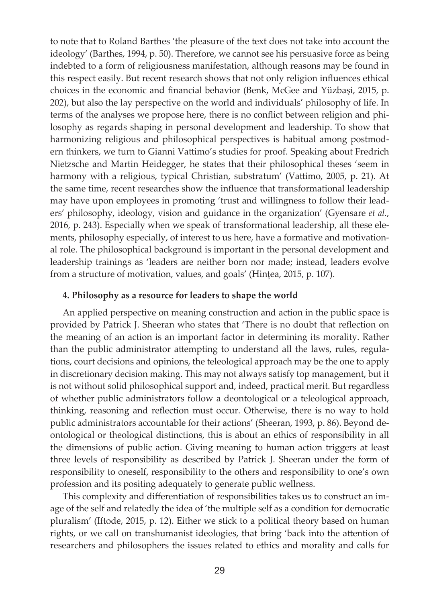to note that to Roland Barthes 'the pleasure of the text does not take into account the ideology' (Barthes, 1994, p. 50). Therefore, we cannot see his persuasive force as being indebted to a form of religiousness manifestation, although reasons may be found in this respect easily. But recent research shows that not only religion influences ethical choices in the economic and financial behavior (Benk, McGee and Yüzbaşi, 2015, p. 202), but also the lay perspective on the world and individuals' philosophy of life. In terms of the analyses we propose here, there is no conflict between religion and philosophy as regards shaping in personal development and leadership. To show that harmonizing religious and philosophical perspectives is habitual among postmodern thinkers, we turn to Gianni Vattimo's studies for proof. Speaking about Fredrich Nietzsche and Martin Heidegger, he states that their philosophical theses 'seem in harmony with a religious, typical Christian, substratum' (Vattimo, 2005, p. 21). At the same time, recent researches show the influence that transformational leadership may have upon employees in promoting 'trust and willingness to follow their leaders' philosophy, ideology, vision and guidance in the organization' (Gyensare *et al.*, 2016, p. 243). Especially when we speak of transformational leadership, all these elements, philosophy especially, of interest to us here, have a formative and motivational role. The philosophical background is important in the personal development and leadership trainings as 'leaders are neither born nor made; instead, leaders evolve from a structure of motivation, values, and goals' (Hințea, 2015, p. 107).

# **4. Philosophy as a resource for leaders to shape the world**

An applied perspective on meaning construction and action in the public space is provided by Patrick J. Sheeran who states that 'There is no doubt that reflection on the meaning of an action is an important factor in determining its morality. Rather than the public administrator attempting to understand all the laws, rules, regulations, court decisions and opinions, the teleological approach may be the one to apply in discretionary decision making. This may not always satisfy top management, but it is not without solid philosophical support and, indeed, practical merit. But regardless of whether public administrators follow a deontological or a teleological approach, thinking, reasoning and reflection must occur. Otherwise, there is no way to hold public administrators accountable for their actions' (Sheeran, 1993, p. 86). Beyond deontological or theological distinctions, this is about an ethics of responsibility in all the dimensions of public action. Giving meaning to human action triggers at least three levels of responsibility as described by Patrick J. Sheeran under the form of responsibility to oneself, responsibility to the others and responsibility to one's own profession and its positing adequately to generate public wellness.

This complexity and differentiation of responsibilities takes us to construct an image of the self and relatedly the idea of 'the multiple self as a condition for democratic pluralism' (Iftode, 2015, p. 12). Either we stick to a political theory based on human rights, or we call on transhumanist ideologies, that bring 'back into the attention of researchers and philosophers the issues related to ethics and morality and calls for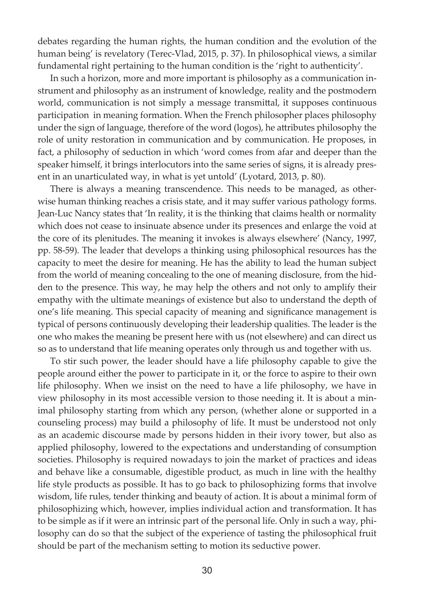debates regarding the human rights, the human condition and the evolution of the human being' is revelatory (Terec-Vlad, 2015, p. 37). In philosophical views, a similar fundamental right pertaining to the human condition is the 'right to authenticity'.

In such a horizon, more and more important is philosophy as a communication instrument and philosophy as an instrument of knowledge, reality and the postmodern world, communication is not simply a message transmittal, it supposes continuous participation in meaning formation. When the French philosopher places philosophy under the sign of language, therefore of the word (logos), he attributes philosophy the role of unity restoration in communication and by communication. He proposes, in fact, a philosophy of seduction in which 'word comes from afar and deeper than the speaker himself, it brings interlocutors into the same series of signs, it is already present in an unarticulated way, in what is yet untold' (Lyotard, 2013, p. 80).

There is always a meaning transcendence. This needs to be managed, as otherwise human thinking reaches a crisis state, and it may suffer various pathology forms. Jean-Luc Nancy states that 'In reality, it is the thinking that claims health or normality which does not cease to insinuate absence under its presences and enlarge the void at the core of its plenitudes. The meaning it invokes is always elsewhere' (Nancy, 1997, pp. 58-59). The leader that develops a thinking using philosophical resources has the capacity to meet the desire for meaning. He has the ability to lead the human subject from the world of meaning concealing to the one of meaning disclosure, from the hidden to the presence. This way, he may help the others and not only to amplify their empathy with the ultimate meanings of existence but also to understand the depth of one's life meaning. This special capacity of meaning and significance management is typical of persons continuously developing their leadership qualities. The leader is the one who makes the meaning be present here with us (not elsewhere) and can direct us so as to understand that life meaning operates only through us and together with us.

To stir such power, the leader should have a life philosophy capable to give the people around either the power to participate in it, or the force to aspire to their own life philosophy. When we insist on the need to have a life philosophy, we have in view philosophy in its most accessible version to those needing it. It is about a minimal philosophy starting from which any person, (whether alone or supported in a counseling process) may build a philosophy of life. It must be understood not only as an academic discourse made by persons hidden in their ivory tower, but also as applied philosophy, lowered to the expectations and understanding of consumption societies. Philosophy is required nowadays to join the market of practices and ideas and behave like a consumable, digestible product, as much in line with the healthy life style products as possible. It has to go back to philosophizing forms that involve wisdom, life rules, tender thinking and beauty of action. It is about a minimal form of philosophizing which, however, implies individual action and transformation. It has to be simple as if it were an intrinsic part of the personal life. Only in such a way, philosophy can do so that the subject of the experience of tasting the philosophical fruit should be part of the mechanism setting to motion its seductive power.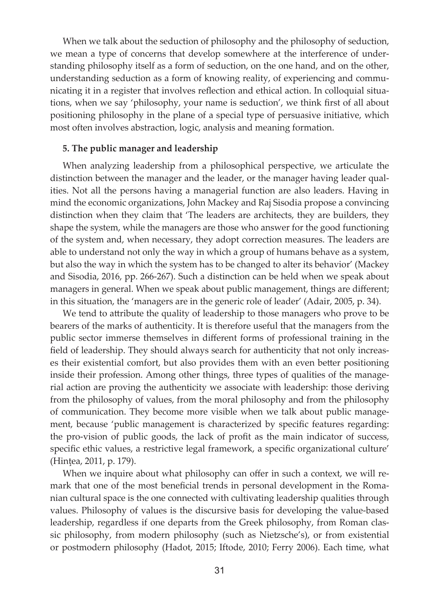When we talk about the seduction of philosophy and the philosophy of seduction, we mean a type of concerns that develop somewhere at the interference of understanding philosophy itself as a form of seduction, on the one hand, and on the other, understanding seduction as a form of knowing reality, of experiencing and communicating it in a register that involves reflection and ethical action. In colloquial situations, when we say 'philosophy, your name is seduction', we think first of all about positioning philosophy in the plane of a special type of persuasive initiative, which most often involves abstraction, logic, analysis and meaning formation.

## **5. The public manager and leadership**

When analyzing leadership from a philosophical perspective, we articulate the distinction between the manager and the leader, or the manager having leader qualities. Not all the persons having a managerial function are also leaders. Having in mind the economic organizations, John Mackey and Raj Sisodia propose a convincing distinction when they claim that 'The leaders are architects, they are builders, they shape the system, while the managers are those who answer for the good functioning of the system and, when necessary, they adopt correction measures. The leaders are able to understand not only the way in which a group of humans behave as a system, but also the way in which the system has to be changed to alter its behavior' (Mackey and Sisodia, 2016, pp. 266-267). Such a distinction can be held when we speak about managers in general. When we speak about public management, things are different; in this situation, the 'managers are in the generic role of leader' (Adair, 2005, p. 34).

We tend to attribute the quality of leadership to those managers who prove to be bearers of the marks of authenticity. It is therefore useful that the managers from the public sector immerse themselves in different forms of professional training in the field of leadership. They should always search for authenticity that not only increases their existential comfort, but also provides them with an even better positioning inside their profession. Among other things, three types of qualities of the managerial action are proving the authenticity we associate with leadership: those deriving from the philosophy of values, from the moral philosophy and from the philosophy of communication. They become more visible when we talk about public management, because 'public management is characterized by specific features regarding: the pro-vision of public goods, the lack of profit as the main indicator of success, specific ethic values, a restrictive legal framework, a specific organizational culture' (Hinţea, 2011, p. 179).

When we inquire about what philosophy can offer in such a context, we will remark that one of the most beneficial trends in personal development in the Romanian cultural space is the one connected with cultivating leadership qualities through values. Philosophy of values is the discursive basis for developing the value-based leadership, regardless if one departs from the Greek philosophy, from Roman classic philosophy, from modern philosophy (such as Nietzsche's), or from existential or postmodern philosophy (Hadot, 2015; Iftode, 2010; Ferry 2006). Each time, what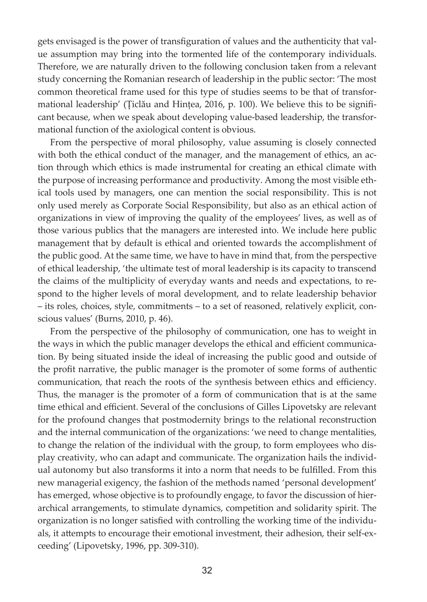gets envisaged is the power of transfiguration of values and the authenticity that value assumption may bring into the tormented life of the contemporary individuals. Therefore, we are naturally driven to the following conclusion taken from a relevant study concerning the Romanian research of leadership in the public sector: 'The most common theoretical frame used for this type of studies seems to be that of transformational leadership' (Țiclău and Hințea, 2016, p. 100). We believe this to be significant because, when we speak about developing value-based leadership, the transformational function of the axiological content is obvious.

From the perspective of moral philosophy, value assuming is closely connected with both the ethical conduct of the manager, and the management of ethics, an action through which ethics is made instrumental for creating an ethical climate with the purpose of increasing performance and productivity. Among the most visible ethical tools used by managers, one can mention the social responsibility. This is not only used merely as Corporate Social Responsibility, but also as an ethical action of organizations in view of improving the quality of the employees' lives, as well as of those various publics that the managers are interested into. We include here public management that by default is ethical and oriented towards the accomplishment of the public good. At the same time, we have to have in mind that, from the perspective of ethical leadership, 'the ultimate test of moral leadership is its capacity to transcend the claims of the multiplicity of everyday wants and needs and expectations, to respond to the higher levels of moral development, and to relate leadership behavior – its roles, choices, style, commitments – to a set of reasoned, relatively explicit, conscious values' (Burns, 2010, p. 46).

From the perspective of the philosophy of communication, one has to weight in the ways in which the public manager develops the ethical and efficient communication. By being situated inside the ideal of increasing the public good and outside of the profit narrative, the public manager is the promoter of some forms of authentic communication, that reach the roots of the synthesis between ethics and efficiency. Thus, the manager is the promoter of a form of communication that is at the same time ethical and efficient. Several of the conclusions of Gilles Lipovetsky are relevant for the profound changes that postmodernity brings to the relational reconstruction and the internal communication of the organizations: 'we need to change mentalities, to change the relation of the individual with the group, to form employees who display creativity, who can adapt and communicate. The organization hails the individual autonomy but also transforms it into a norm that needs to be fulfilled. From this new managerial exigency, the fashion of the methods named 'personal development' has emerged, whose objective is to profoundly engage, to favor the discussion of hierarchical arrangements, to stimulate dynamics, competition and solidarity spirit. The organization is no longer satisfied with controlling the working time of the individuals, it attempts to encourage their emotional investment, their adhesion, their self-exceeding' (Lipovetsky, 1996, pp. 309-310).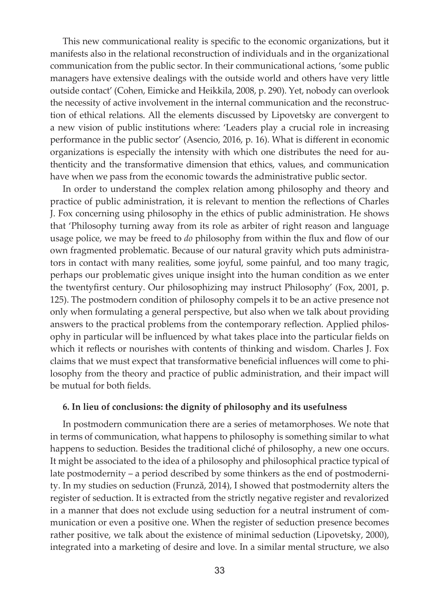This new communicational reality is specific to the economic organizations, but it manifests also in the relational reconstruction of individuals and in the organizational communication from the public sector. In their communicational actions, 'some public managers have extensive dealings with the outside world and others have very little outside contact' (Cohen, Eimicke and Heikkila, 2008, p. 290). Yet, nobody can overlook the necessity of active involvement in the internal communication and the reconstruction of ethical relations. All the elements discussed by Lipovetsky are convergent to a new vision of public institutions where: 'Leaders play a crucial role in increasing performance in the public sector' (Asencio, 2016, p. 16). What is different in economic organizations is especially the intensity with which one distributes the need for authenticity and the transformative dimension that ethics, values, and communication have when we pass from the economic towards the administrative public sector.

In order to understand the complex relation among philosophy and theory and practice of public administration, it is relevant to mention the reflections of Charles J. Fox concerning using philosophy in the ethics of public administration. He shows that 'Philosophy turning away from its role as arbiter of right reason and language usage police, we may be freed to *do* philosophy from within the flux and flow of our own fragmented problematic. Because of our natural gravity which puts administrators in contact with many realities, some joyful, some painful, and too many tragic, perhaps our problematic gives unique insight into the human condition as we enter the twentyfirst century. Our philosophizing may instruct Philosophy' (Fox, 2001, p. 125). The postmodern condition of philosophy compels it to be an active presence not only when formulating a general perspective, but also when we talk about providing answers to the practical problems from the contemporary reflection. Applied philosophy in particular will be influenced by what takes place into the particular fields on which it reflects or nourishes with contents of thinking and wisdom. Charles J. Fox claims that we must expect that transformative beneficial influences will come to philosophy from the theory and practice of public administration, and their impact will be mutual for both fields.

# **6. In lieu of conclusions: the dignity of philosophy and its usefulness**

In postmodern communication there are a series of metamorphoses. We note that in terms of communication, what happens to philosophy is something similar to what happens to seduction. Besides the traditional cliché of philosophy, a new one occurs. It might be associated to the idea of a philosophy and philosophical practice typical of late postmodernity – a period described by some thinkers as the end of postmodernity. In my studies on seduction (Frunză, 2014), I showed that postmodernity alters the register of seduction. It is extracted from the strictly negative register and revalorized in a manner that does not exclude using seduction for a neutral instrument of communication or even a positive one. When the register of seduction presence becomes rather positive, we talk about the existence of minimal seduction (Lipovetsky, 2000), integrated into a marketing of desire and love. In a similar mental structure, we also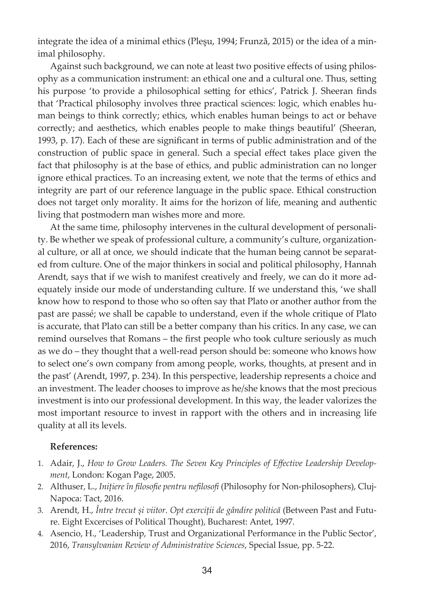integrate the idea of a minimal ethics (Pleşu, 1994; Frunză, 2015) or the idea of a minimal philosophy.

Against such background, we can note at least two positive effects of using philosophy as a communication instrument: an ethical one and a cultural one. Thus, setting his purpose 'to provide a philosophical setting for ethics', Patrick J. Sheeran finds that 'Practical philosophy involves three practical sciences: logic, which enables human beings to think correctly; ethics, which enables human beings to act or behave correctly; and aesthetics, which enables people to make things beautiful' (Sheeran, 1993, p. 17). Each of these are significant in terms of public administration and of the construction of public space in general. Such a special effect takes place given the fact that philosophy is at the base of ethics, and public administration can no longer ignore ethical practices. To an increasing extent, we note that the terms of ethics and integrity are part of our reference language in the public space. Ethical construction does not target only morality. It aims for the horizon of life, meaning and authentic living that postmodern man wishes more and more.

At the same time, philosophy intervenes in the cultural development of personality. Be whether we speak of professional culture, a community's culture, organizational culture, or all at once, we should indicate that the human being cannot be separated from culture. One of the major thinkers in social and political philosophy, Hannah Arendt, says that if we wish to manifest creatively and freely, we can do it more adequately inside our mode of understanding culture. If we understand this, 'we shall know how to respond to those who so often say that Plato or another author from the past are passé; we shall be capable to understand, even if the whole critique of Plato is accurate, that Plato can still be a better company than his critics. In any case, we can remind ourselves that Romans – the first people who took culture seriously as much as we do – they thought that a well-read person should be: someone who knows how to select one's own company from among people, works, thoughts, at present and in the past' (Arendt, 1997, p. 234). In this perspective, leadership represents a choice and an investment. The leader chooses to improve as he/she knows that the most precious investment is into our professional development. In this way, the leader valorizes the most important resource to invest in rapport with the others and in increasing life quality at all its levels.

# **References:**

- 1. Adair, J., *How to Grow Leaders. The Seven Key Principles of Effective Leadership Development*, London: Kogan Page, 2005.
- 2. Althuser, L., *Inițiere în filosofie pentru nefilosofi* (Philosophy for Non-philosophers), Cluj-Napoca: Tact, 2016.
- 3. Arendt, H., *Între trecut și viitor. Opt exerciții de gândire politică* (Between Past and Future. Eight Excercises of Political Thought), Bucharest: Antet, 1997.
- 4. Asencio, H., 'Leadership, Trust and Organizational Performance in the Public Sector', 2016, *Transylvanian Review of Administrative Sciences*, Special Issue, pp. 5-22.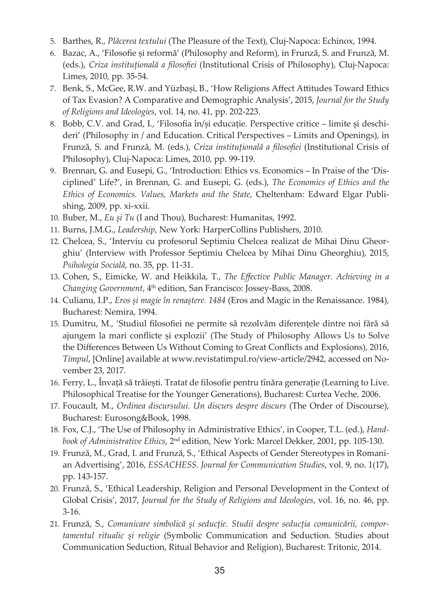- 5. Barthes, R., *Plăcerea textului* (The Pleasure of the Text), Cluj-Napoca: Echinox, 1994.
- 6. Bazac, A., 'Filosofie şi reformă' (Philosophy and Reform), in Frunză, S. and Frunză, M. (eds.), *Criza instituţională a filosofiei* (Institutional Crisis of Philosophy), Cluj-Napoca: Limes, 2010, pp. 35-54.
- 7. Benk, S., McGee, R.W. and Yüzbaşi, B., 'How Religions Affect Attitudes Toward Ethics of Tax Evasion? A Comparative and Demographic Analysis', 2015, *Journal for the Study of Religions and Ideologies*, vol. 14, no. 41, pp. 202-223.
- 8. Bobb, C.V. and Grad, I., 'Filosofia în/şi educaţie. Perspective critice limite şi deschideri' (Philosophy in / and Education. Critical Perspectives – Limits and Openings), in Frunză, S. and Frunză, M. (eds.), *Criza instituţională a filosofiei* (Institutional Crisis of Philosophy), Cluj-Napoca: Limes, 2010, pp. 99-119.
- 9. Brennan, G. and Eusepi, G., 'Introduction: Ethics vs. Economics In Praise of the 'Disciplined' Life?', in Brennan, G. and Eusepi, G. (eds.), *The Economics of Ethics and the Ethics of Economics. Values, Markets and the State*, Cheltenham: Edward Elgar Publishing, 2009, pp. xi-xxii.
- 10. Buber, M., *Eu şi Tu* (I and Thou), Bucharest: Humanitas, 1992.
- 11. Burns, J.M.G., *Leadership*, New York: HarperCollins Publishers, 2010.
- 12. Chelcea, S., 'Interviu cu profesorul Septimiu Chelcea realizat de Mihai Dinu Gheorghiu' (Interview with Professor Septimiu Chelcea by Mihai Dinu Gheorghiu), 2015, *Psihologia Socială*, no. 35, pp. 11-31.
- 13. Cohen, S., Eimicke, W. and Heikkila, T., *The Effective Public Manager. Achieving in a Changing Government,* 4<sup>th</sup> edition, San Francisco: Jossey-Bass, 2008.
- 14. Culianu, I.P., *Eros și magie în renaștere. 1484* (Eros and Magic in the Renaissance. 1984), Bucharest: Nemira, 1994.
- 15. Dumitru, M., 'Studiul filosofiei ne permite să rezolvăm diferențele dintre noi fără să ajungem la mari conflicte și explozii' (The Study of Philosophy Allows Us to Solve the Differences Between Us Without Coming to Great Conflicts and Explosions), 2016, *Timpul*, [Online] available at www.revistatimpul.ro/view-article/2942, accessed on November 23, 2017.
- 16. Ferry, L., Învață să trăiești. Tratat de filosofie pentru tînăra generație (Learning to Live. Philosophical Treatise for the Younger Generations), Bucharest: Curtea Veche, 2006.
- 17. Foucault, M., *Ordinea discursului. Un discurs despre discurs* (The Order of Discourse), Bucharest: Eurosong&Book, 1998.
- 18. Fox, C.J., 'The Use of Philosophy in Administrative Ethics', in Cooper, T.L. (ed.), *Handbook of Administrative Ethics*, 2nd edition, New York: Marcel Dekker, 2001, pp. 105-130.
- 19. Frunză, M., Grad, I. and Frunză, S., 'Ethical Aspects of Gender Stereotypes in Romanian Advertising', 2016, *ESSACHESS. Journal for Communication Studies*, vol. 9, no. 1(17), pp. 143-157.
- 20. Frunză, S., 'Ethical Leadership, Religion and Personal Development in the Context of Global Crisis', 2017, *Journal for the Study of Religions and Ideologies*, vol. 16, no. 46, pp. 3-16.
- 21. Frunză, S., *Comunicare simbolică și seducție. Studii despre seducția comunicării, comportamentul ritualic și religie* (Symbolic Communication and Seduction. Studies about Communication Seduction, Ritual Behavior and Religion), Bucharest: Tritonic, 2014.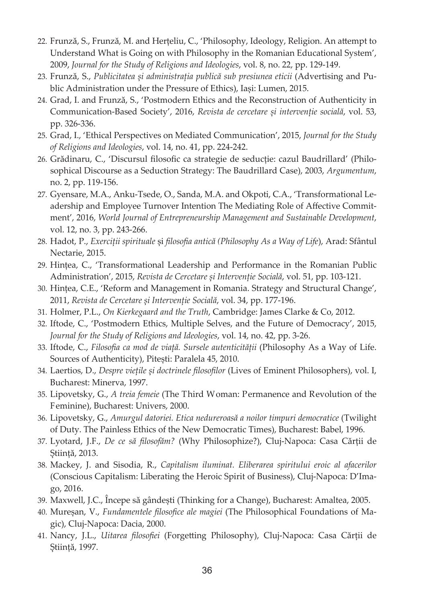- 22. Frunză, S., Frunză, M. and Herțeliu, C., 'Philosophy, Ideology, Religion. An attempt to Understand What is Going on with Philosophy in the Romanian Educational System', 2009, *Journal for the Study of Religions and Ideologies*, vol. 8, no. 22, pp. 129-149.
- 23. Frunză, S., *Publicitatea și administrația publică sub presiunea eticii* (Advertising and Public Administration under the Pressure of Ethics), Iași: Lumen, 2015.
- 24. Grad, I. and Frunză, S., 'Postmodern Ethics and the Reconstruction of Authenticity in Communication-Based Society', 2016, *Revista de cercetare și intervenție socială*, vol. 53, pp. 326-336.
- 25. Grad, I., 'Ethical Perspectives on Mediated Communication', 2015, *Journal for the Study of Religions and Ideologies*, vol. 14, no. 41, pp. 224-242.
- 26. Grădinaru, C., 'Discursul filosofic ca strategie de seducţie: cazul Baudrillard' (Philosophical Discourse as a Seduction Strategy: The Baudrillard Case), 2003, *Argumentum*, no. 2, pp. 119-156.
- 27. Gyensare, M.A., Anku-Tsede, O., Sanda, M.A. and Okpoti, C.A., 'Transformational Leadership and Employee Turnover Intention The Mediating Role of Affective Commitment', 2016, *World Journal of Entrepreneurship Management and Sustainable Development*, vol. 12, no. 3, pp. 243-266.
- 28. Hadot, P., *Exerciții spirituale* și *filosofia antică (Philosophy As a Way of Life*), Arad: Sfântul Nectarie, 2015.
- 29. Hințea, C., 'Transformational Leadership and Performance in the Romanian Public Administration', 2015, *Revista de Cercetare și Intervenție Socială*, vol. 51, pp. 103-121.
- 30. Hințea, C.E., 'Reform and Management in Romania. Strategy and Structural Change', 2011, *Revista de Cercetare și Intervenție Socială*, vol. 34, pp. 177-196.
- 31. Holmer, P.L., *On Kierkegaard and the Truth*, Cambridge: James Clarke & Co, 2012.
- 32. Iftode, C., 'Postmodern Ethics, Multiple Selves, and the Future of Democracy', 2015, *Journal for the Study of Religions and Ideologies*, vol. 14, no. 42, pp. 3-26.
- 33. Iftode, C., *Filosofia ca mod de viață. Sursele autenticității* (Philosophy As a Way of Life. Sources of Authenticity), Pitești: Paralela 45, 2010.
- 34. Laertios, D., *Despre viețile și doctrinele filosofilor* (Lives of Eminent Philosophers), vol. I, Bucharest: Minerva, 1997.
- 35. Lipovetsky, G., *A treia femeie* (The Third Woman: Permanence and Revolution of the Feminine), Bucharest: Univers, 2000.
- 36. Lipovetsky, G., *Amurgul datoriei. Etica nedureroasă a noilor timpuri democratice* (Twilight of Duty. The Painless Ethics of the New Democratic Times), Bucharest: Babel, 1996.
- 37. Lyotard, J.F., *De ce să filosofăm?* (Why Philosophize?), Cluj-Napoca: Casa Cărții de Știință, 2013.
- 38. Mackey, J. and Sisodia, R., *Capitalism iluminat. Eliberarea spiritului eroic al afacerilor*  (Conscious Capitalism: Liberating the Heroic Spirit of Business), Cluj-Napoca: D'Imago, 2016.
- 39. Maxwell, J.C., Începe să gândești (Thinking for a Change), Bucharest: Amaltea, 2005.
- 40. Mureșan, V., *Fundamentele filosofice ale magiei* (The Philosophical Foundations of Magic), Cluj-Napoca: Dacia, 2000.
- 41. Nancy, J.L., *Uitarea filosofiei* (Forgetting Philosophy), Cluj-Napoca: Casa Cărții de Știință, 1997.